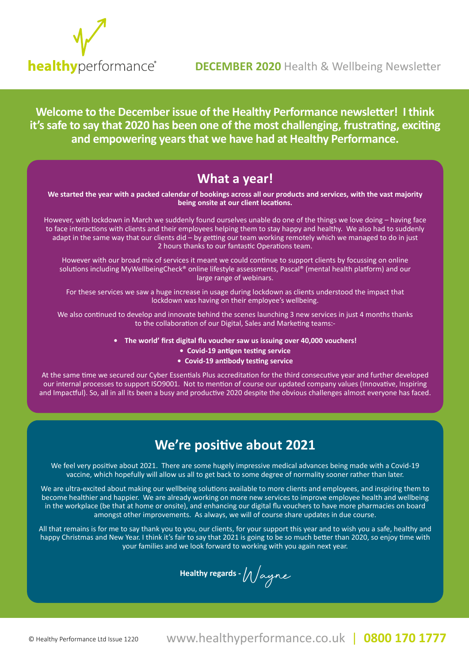

**Welcome to the December issue of the Healthy Performance newsletter! I think it's safe to say that 2020 has been one of the most challenging, frustrating, exciting and empowering years that we have had at Healthy Performance.** 

## **What a year!**

**We started the year with a packed calendar of bookings across all our products and services, with the vast majority being onsite at our client locations.** 

However, with lockdown in March we suddenly found ourselves unable do one of the things we love doing – having face to face interactions with clients and their employees helping them to stay happy and healthy. We also had to suddenly adapt in the same way that our clients did - by getting our team working remotely which we managed to do in just 2 hours thanks to our fantastic Operations team.

However with our broad mix of services it meant we could continue to support clients by focussing on online solutions including MyWellbeingCheck® online lifestyle assessments, Pascal® (mental health platform) and our large range of webinars.

For these services we saw a huge increase in usage during lockdown as clients understood the impact that lockdown was having on their employee's wellbeing.

We also continued to develop and innovate behind the scenes launching 3 new services in just 4 months thanks to the collaboration of our Digital, Sales and Marketing teams:-

- **The world' first digital flu voucher saw us issuing over 40,000 vouchers!**
	- **Covid-19 antigen testing service**
	- **Covid-19 antibody testing service**

At the same time we secured our Cyber Essentials Plus accreditation for the third consecutive year and further developed our internal processes to support ISO9001. Not to mention of course our updated company values (Innovative, Inspiring and Impactful). So, all in all its been a busy and productive 2020 despite the obvious challenges almost everyone has faced.

## **We're positive about 2021**

We feel very positive about 2021. There are some hugely impressive medical advances being made with a Covid-19 vaccine, which hopefully will allow us all to get back to some degree of normality sooner rather than later.

We are ultra-excited about making our wellbeing solutions available to more clients and employees, and inspiring them to become healthier and happier. We are already working on more new services to improve employee health and wellbeing in the workplace (be that at home or onsite), and enhancing our digital flu vouchers to have more pharmacies on board amongst other improvements. As always, we will of course share updates in due course.

All that remains is for me to say thank you to you, our clients, for your support this year and to wish you a safe, healthy and happy Christmas and New Year. I think it's fair to say that 2021 is going to be so much better than 2020, so enjoy time with your families and we look forward to working with you again next year.

**Healthy regards -** Wayne

© Healthy Performance Ltd Issue 1220

www.healthyperformance.co.uk | www.healthyperformance.co.uk | www.healthyperformance.co.uk **0844 432 5849 (0844 HEALTHY) 0844 432 5849 (0844 HEALTHY)** | **0800 170 1777**